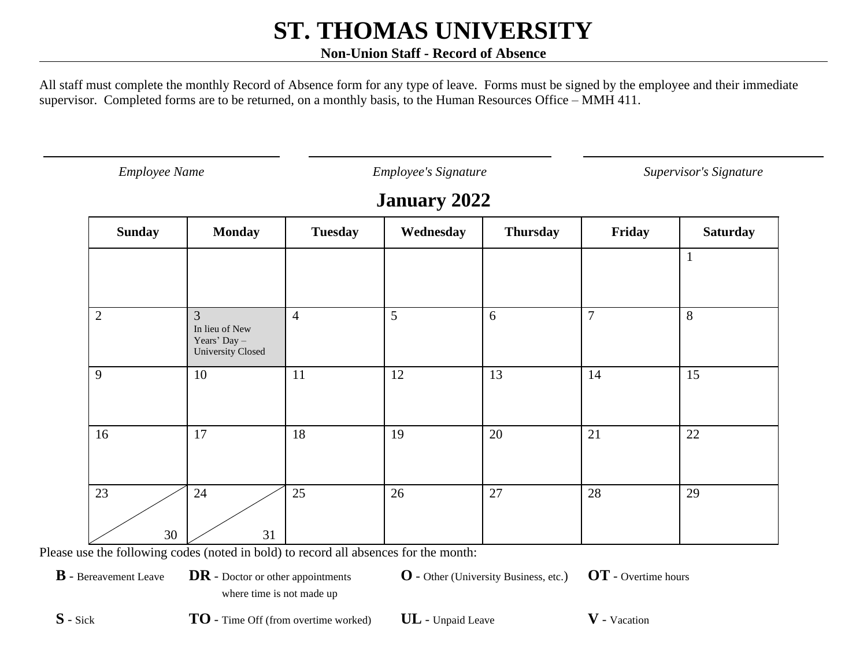#### **Non-Union Staff - Record of Absence**

All staff must complete the monthly Record of Absence form for any type of leave. Forms must be signed by the employee and their immediate supervisor. Completed forms are to be returned, on a monthly basis, to the Human Resources Office – MMH 411.

*Employee Name Employee's Signature Supervisor's Signature*

### **January 2022**

| <b>Sunday</b>  | <b>Monday</b>                                                                  | <b>Tuesday</b> | Wednesday | <b>Thursday</b> | Friday         | <b>Saturday</b> |
|----------------|--------------------------------------------------------------------------------|----------------|-----------|-----------------|----------------|-----------------|
|                |                                                                                |                |           |                 |                |                 |
|                |                                                                                |                |           |                 |                |                 |
| $\overline{2}$ | $\mathfrak{Z}$<br>In lieu of New<br>Years' Day $-$<br><b>University Closed</b> | $\overline{4}$ | 5         | 6               | $\overline{7}$ | 8               |
| 9              | 10                                                                             | 11             | 12        | 13              | 14             | 15              |
| 16             | 17                                                                             | 18             | 19        | 20              | 21             | 22              |
| 23<br>30       | 24<br>31                                                                       | 25             | 26        | 27              | 28             | 29              |

Please use the following codes (noted in bold) to record all absences for the month:

**B** - Bereavement Leave **DR** - Doctor or other appointments

**O** - Other (University Business, etc.) **OT** - Overtime hours

where time is not made up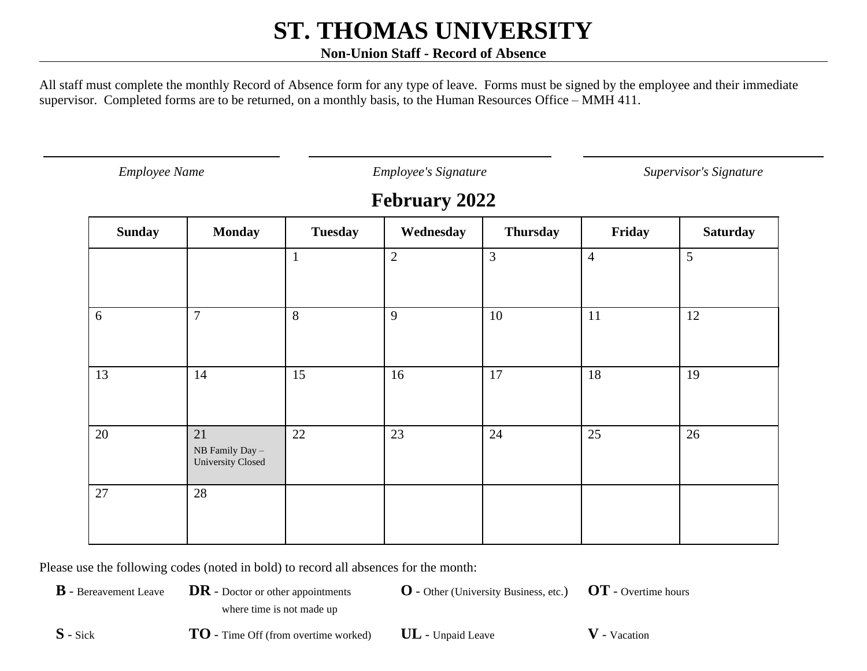#### **Non-Union Staff - Record of Absence**

All staff must complete the monthly Record of Absence form for any type of leave. Forms must be signed by the employee and their immediate supervisor. Completed forms are to be returned, on a monthly basis, to the Human Resources Office – MMH 411.

*Employee Name Employee's Signature Supervisor's Signature*

### **February 2022**

| <b>Sunday</b> | <b>Monday</b>                                               | <b>Tuesday</b> | Wednesday    | <b>Thursday</b> | Friday         | <b>Saturday</b> |
|---------------|-------------------------------------------------------------|----------------|--------------|-----------------|----------------|-----------------|
|               |                                                             | $\mathbf{1}$   | $\mathbf{2}$ | $\overline{3}$  | $\overline{4}$ | 5               |
| 6             | $\overline{7}$                                              | 8              | 9            | 10              | 11             | 12              |
| 13            | 14                                                          | 15             | 16           | 17              | 18             | 19              |
| 20            | 21<br>${\rm NB}$ Family Day $-$<br><b>University Closed</b> | 22             | 23           | 24              | 25             | 26              |
| 27            | 28                                                          |                |              |                 |                |                 |

Please use the following codes (noted in bold) to record all absences for the month:

**B** - Bereavement Leave **DR** - Doctor or other appointments where time is not made up

**O** - Other (University Business, etc.) **OT** - Overtime hours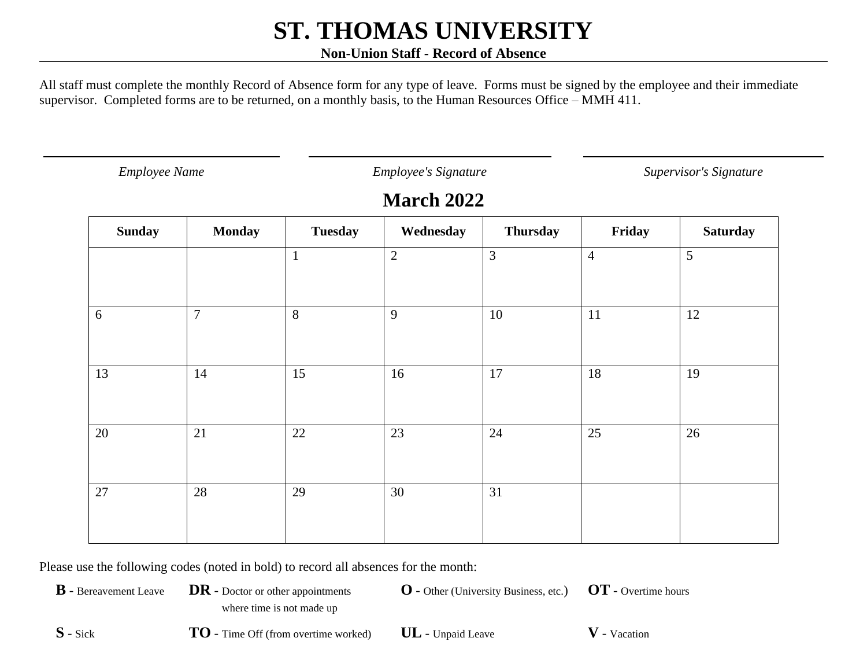#### **Non-Union Staff - Record of Absence**

All staff must complete the monthly Record of Absence form for any type of leave. Forms must be signed by the employee and their immediate supervisor. Completed forms are to be returned, on a monthly basis, to the Human Resources Office – MMH 411.

*Employee Name Employee's Signature Supervisor's Signature*

### **March 2022**

| <b>Sunday</b> | <b>Monday</b>  | <b>Tuesday</b> | Wednesday  | <b>Thursday</b> | Friday         | <b>Saturday</b> |
|---------------|----------------|----------------|------------|-----------------|----------------|-----------------|
|               |                | $\mathbf{1}$   | $\sqrt{2}$ | $\mathfrak{Z}$  | $\overline{4}$ | 5               |
| 6             | $\overline{7}$ | 8              | 9          | 10              | 11             | 12              |
| 13            | 14             | 15             | 16         | 17              | 18             | 19              |
| 20            | 21             | 22             | 23         | 24              | 25             | 26              |
| 27            | 28             | 29             | 30         | 31              |                |                 |

Please use the following codes (noted in bold) to record all absences for the month:

**B** - Bereavement Leave **DR** - Doctor or other appointments where time is not made up

**O** - Other (University Business, etc.) **OT** - Overtime hours